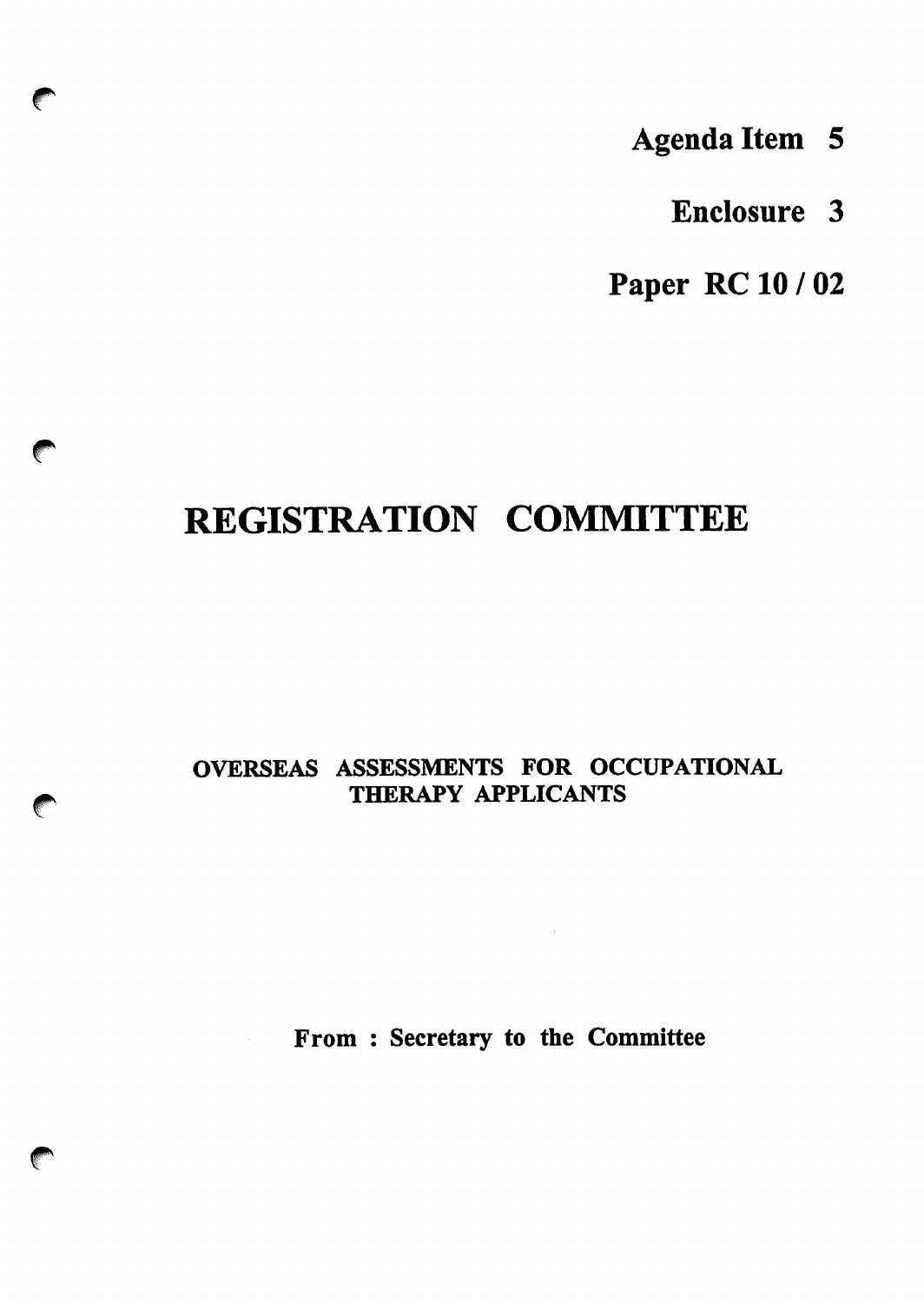- Agenda Item 5
	- Enclosure 3

Paper RC 10 / 02

## REGISTRATION COMMITTEE

**Company** 

**Company** 

## OVERSEAS ASSESSMENTS FOR OCCUPATIONAL THERAPY APPLICANTS

From : Secretary to the Committee